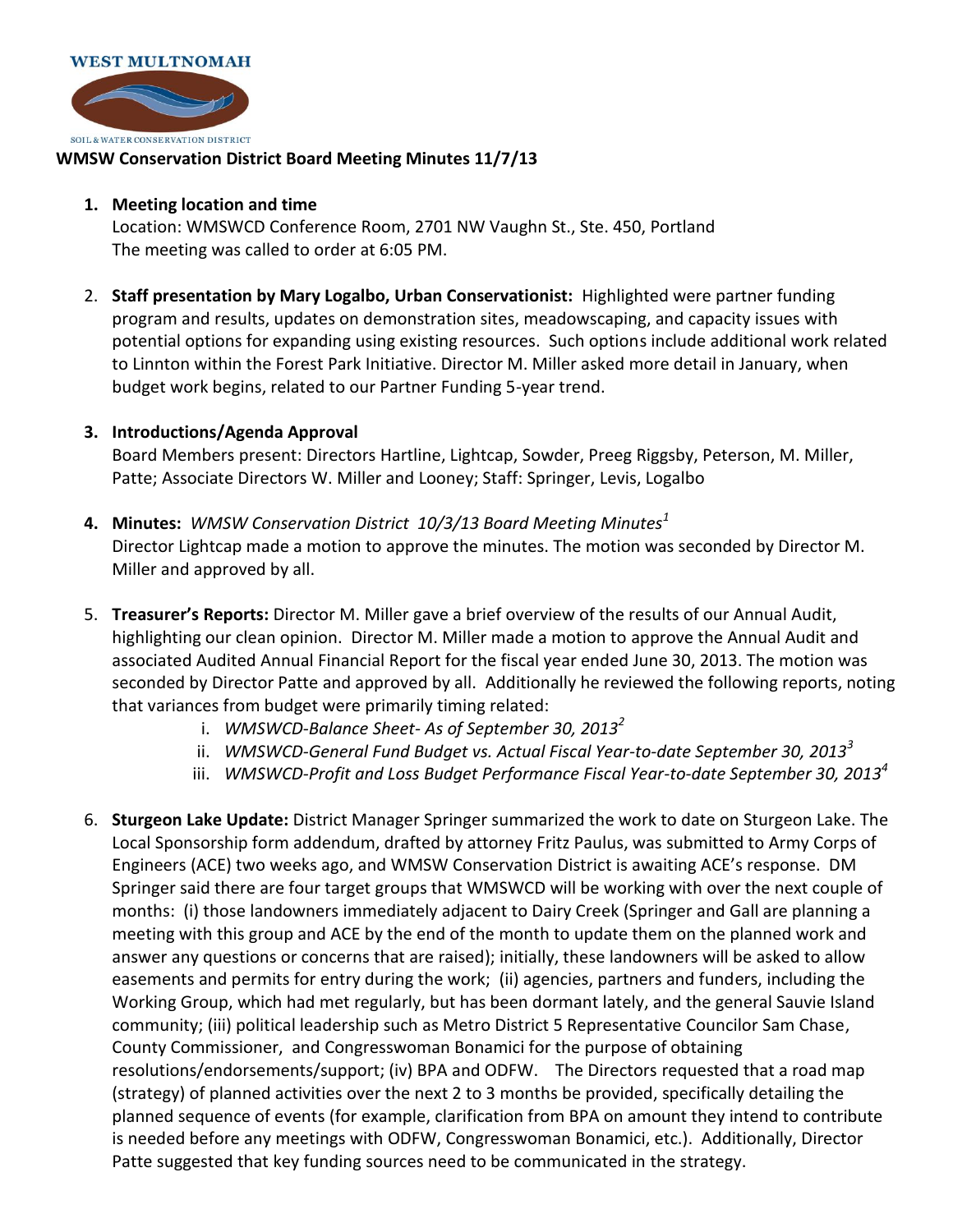

## **WMSW Conservation District Board Meeting Minutes 11/7/13**

## **1. Meeting location and time**

Location: WMSWCD Conference Room, 2701 NW Vaughn St., Ste. 450, Portland The meeting was called to order at 6:05 PM.

2. **Staff presentation by Mary Logalbo, Urban Conservationist:** Highlighted were partner funding program and results, updates on demonstration sites, meadowscaping, and capacity issues with potential options for expanding using existing resources. Such options include additional work related to Linnton within the Forest Park Initiative. Director M. Miller asked more detail in January, when budget work begins, related to our Partner Funding 5-year trend.

## **3. Introductions/Agenda Approval**

Board Members present: Directors Hartline, Lightcap, Sowder, Preeg Riggsby, Peterson, M. Miller, Patte; Associate Directors W. Miller and Looney; Staff: Springer, Levis, Logalbo

- **4. Minutes:** *WMSW Conservation District 10/3/13 Board Meeting Minutes<sup>1</sup>* Director Lightcap made a motion to approve the minutes. The motion was seconded by Director M. Miller and approved by all.
- 5. **Treasurer's Reports:** Director M. Miller gave a brief overview of the results of our Annual Audit, highlighting our clean opinion. Director M. Miller made a motion to approve the Annual Audit and associated Audited Annual Financial Report for the fiscal year ended June 30, 2013. The motion was seconded by Director Patte and approved by all. Additionally he reviewed the following reports, noting that variances from budget were primarily timing related:
	- i. *WMSWCD-Balance Sheet- As of September 30, 2013<sup>2</sup>*
	- ii. *WMSWCD-General Fund Budget vs. Actual Fiscal Year-to-date September 30, 2013<sup>3</sup>*
	- iii. *WMSWCD-Profit and Loss Budget Performance Fiscal Year-to-date September 30, 2013<sup>4</sup>*
- 6. **Sturgeon Lake Update:** District Manager Springer summarized the work to date on Sturgeon Lake. The Local Sponsorship form addendum, drafted by attorney Fritz Paulus, was submitted to Army Corps of Engineers (ACE) two weeks ago, and WMSW Conservation District is awaiting ACE's response. DM Springer said there are four target groups that WMSWCD will be working with over the next couple of months: (i) those landowners immediately adjacent to Dairy Creek (Springer and Gall are planning a meeting with this group and ACE by the end of the month to update them on the planned work and answer any questions or concerns that are raised); initially, these landowners will be asked to allow easements and permits for entry during the work; (ii) agencies, partners and funders, including the Working Group, which had met regularly, but has been dormant lately, and the general Sauvie Island community; (iii) political leadership such as Metro District 5 Representative Councilor Sam Chase, County Commissioner, and Congresswoman Bonamici for the purpose of obtaining resolutions/endorsements/support; (iv) BPA and ODFW. The Directors requested that a road map (strategy) of planned activities over the next 2 to 3 months be provided, specifically detailing the planned sequence of events (for example, clarification from BPA on amount they intend to contribute is needed before any meetings with ODFW, Congresswoman Bonamici, etc.). Additionally, Director Patte suggested that key funding sources need to be communicated in the strategy.